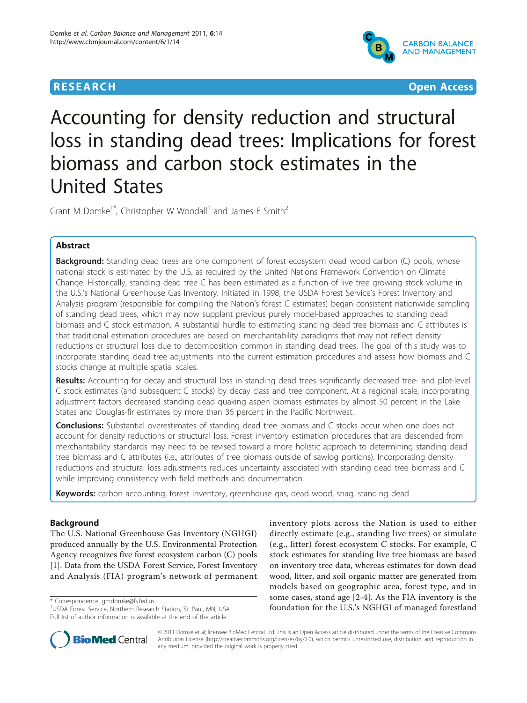## **RESEARCH CONTROL** CONTROL CONTROL CONTROL CONTROL CONTROL CONTROL CONTROL CONTROL CONTROL CONTROL CONTROL CONTROL CONTROL CONTROL CONTROL CONTROL CONTROL CONTROL CONTROL CONTROL CONTROL CONTROL CONTROL CONTROL CONTROL CON



# Accounting for density reduction and structural loss in standing dead trees: Implications for forest biomass and carbon stock estimates in the United States

Grant M Domke<sup>1\*</sup>, Christopher W Woodall<sup>1</sup> and James E Smith<sup>2</sup>

## Abstract

**Background:** Standing dead trees are one component of forest ecosystem dead wood carbon (C) pools, whose national stock is estimated by the U.S. as required by the United Nations Framework Convention on Climate Change. Historically, standing dead tree C has been estimated as a function of live tree growing stock volume in the U.S.'s National Greenhouse Gas Inventory. Initiated in 1998, the USDA Forest Service's Forest Inventory and Analysis program (responsible for compiling the Nation's forest C estimates) began consistent nationwide sampling of standing dead trees, which may now supplant previous purely model-based approaches to standing dead biomass and C stock estimation. A substantial hurdle to estimating standing dead tree biomass and C attributes is that traditional estimation procedures are based on merchantability paradigms that may not reflect density reductions or structural loss due to decomposition common in standing dead trees. The goal of this study was to incorporate standing dead tree adjustments into the current estimation procedures and assess how biomass and C stocks change at multiple spatial scales.

Results: Accounting for decay and structural loss in standing dead trees significantly decreased tree- and plot-level C stock estimates (and subsequent C stocks) by decay class and tree component. At a regional scale, incorporating adjustment factors decreased standing dead quaking aspen biomass estimates by almost 50 percent in the Lake States and Douglas-fir estimates by more than 36 percent in the Pacific Northwest.

**Conclusions:** Substantial overestimates of standing dead tree biomass and C stocks occur when one does not account for density reductions or structural loss. Forest inventory estimation procedures that are descended from merchantability standards may need to be revised toward a more holistic approach to determining standing dead tree biomass and C attributes (i.e., attributes of tree biomass outside of sawlog portions). Incorporating density reductions and structural loss adjustments reduces uncertainty associated with standing dead tree biomass and C while improving consistency with field methods and documentation.

Keywords: carbon accounting, forest inventory, greenhouse gas, dead wood, snag, standing dead

## Background

The U.S. National Greenhouse Gas Inventory (NGHGI) produced annually by the U.S. Environmental Protection Agency recognizes five forest ecosystem carbon (C) pools [[1\]](#page-9-0). Data from the USDA Forest Service, Forest Inventory and Analysis (FIA) program's network of permanent

1 USDA Forest Service, Northern Research Station, St. Paul, MN, USA Full list of author information is available at the end of the article

inventory plots across the Nation is used to either directly estimate (e.g., standing live trees) or simulate (e.g., litter) forest ecosystem C stocks. For example, C stock estimates for standing live tree biomass are based on inventory tree data, whereas estimates for down dead wood, litter, and soil organic matter are generated from models based on geographic area, forest type, and in some cases, stand age [[2](#page-9-0)-[4\]](#page-9-0). As the FIA inventory is the form Correspondence: [gmdomke@fs.fed.us](mailto:gmdomke@fs.fed.us)<br>
<sup>1</sup>USDA Forest Service, Northern Research Station, St. Paul, MN, USA **http://web/arestlandition for the U.S.'s NGHGI of managed forestland** 



© 2011 Domke et al; licensee BioMed Central Ltd. This is an Open Access article distributed under the terms of the Creative Commons Attribution License [\(http://creativecommons.org/licenses/by/2.0](http://creativecommons.org/licenses/by/2.0)), which permits unrestricted use, distribution, and reproduction in any medium, provided the original work is properly cited.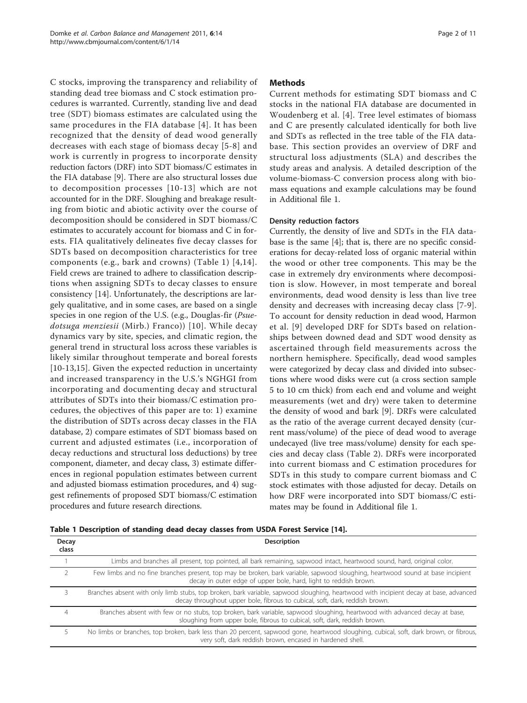C stocks, improving the transparency and reliability of standing dead tree biomass and C stock estimation procedures is warranted. Currently, standing live and dead tree (SDT) biomass estimates are calculated using the same procedures in the FIA database [\[4\]](#page-9-0). It has been recognized that the density of dead wood generally decreases with each stage of biomass decay [[5](#page-9-0)-[8](#page-9-0)] and work is currently in progress to incorporate density reduction factors (DRF) into SDT biomass/C estimates in the FIA database [[9\]](#page-9-0). There are also structural losses due to decomposition processes [[10](#page-9-0)-[13\]](#page-9-0) which are not accounted for in the DRF. Sloughing and breakage resulting from biotic and abiotic activity over the course of decomposition should be considered in SDT biomass/C estimates to accurately account for biomass and C in forests. FIA qualitatively delineates five decay classes for SDTs based on decomposition characteristics for tree components (e.g., bark and crowns) (Table 1) [[4,14\]](#page-9-0). Field crews are trained to adhere to classification descriptions when assigning SDTs to decay classes to ensure consistency [\[14](#page-9-0)]. Unfortunately, the descriptions are largely qualitative, and in some cases, are based on a single species in one region of the U.S. (e.g., Douglas-fir (*Psue*dotsuga menziesii (Mirb.) Franco)) [[10](#page-9-0)]. While decay dynamics vary by site, species, and climatic region, the general trend in structural loss across these variables is likely similar throughout temperate and boreal forests [[10](#page-9-0)-[13,15](#page-9-0)]. Given the expected reduction in uncertainty and increased transparency in the U.S.'s NGHGI from incorporating and documenting decay and structural attributes of SDTs into their biomass/C estimation procedures, the objectives of this paper are to: 1) examine the distribution of SDTs across decay classes in the FIA database, 2) compare estimates of SDT biomass based on current and adjusted estimates (i.e., incorporation of decay reductions and structural loss deductions) by tree component, diameter, and decay class, 3) estimate differences in regional population estimates between current and adjusted biomass estimation procedures, and 4) suggest refinements of proposed SDT biomass/C estimation procedures and future research directions.

## Methods

Current methods for estimating SDT biomass and C stocks in the national FIA database are documented in Woudenberg et al. [[4\]](#page-9-0). Tree level estimates of biomass and C are presently calculated identically for both live and SDTs as reflected in the tree table of the FIA database. This section provides an overview of DRF and structural loss adjustments (SLA) and describes the study areas and analysis. A detailed description of the volume-biomass-C conversion process along with biomass equations and example calculations may be found in Additional file [1.](#page-9-0)

## Density reduction factors

Currently, the density of live and SDTs in the FIA database is the same [\[4\]](#page-9-0); that is, there are no specific considerations for decay-related loss of organic material within the wood or other tree components. This may be the case in extremely dry environments where decomposition is slow. However, in most temperate and boreal environments, dead wood density is less than live tree density and decreases with increasing decay class [\[7-9](#page-9-0)]. To account for density reduction in dead wood, Harmon et al. [\[9\]](#page-9-0) developed DRF for SDTs based on relationships between downed dead and SDT wood density as ascertained through field measurements across the northern hemisphere. Specifically, dead wood samples were categorized by decay class and divided into subsections where wood disks were cut (a cross section sample 5 to 10 cm thick) from each end and volume and weight measurements (wet and dry) were taken to determine the density of wood and bark [[9\]](#page-9-0). DRFs were calculated as the ratio of the average current decayed density (current mass/volume) of the piece of dead wood to average undecayed (live tree mass/volume) density for each species and decay class (Table [2](#page-2-0)). DRFs were incorporated into current biomass and C estimation procedures for SDTs in this study to compare current biomass and C stock estimates with those adjusted for decay. Details on how DRF were incorporated into SDT biomass/C estimates may be found in Additional file [1](#page-9-0).

Table 1 Description of standing dead decay classes from USDA Forest Service [\[14](#page-9-0)].

| Decay<br>class | <b>Description</b>                                                                                                                                                                                                  |
|----------------|---------------------------------------------------------------------------------------------------------------------------------------------------------------------------------------------------------------------|
|                | Limbs and branches all present, top pointed, all bark remaining, sapwood intact, heartwood sound, hard, original color.                                                                                             |
| $\mathcal{D}$  | Few limbs and no fine branches present, top may be broken, bark variable, sapwood sloughing, heartwood sound at base incipient<br>decay in outer edge of upper bole, hard, light to reddish brown.                  |
| 3              | Branches absent with only limb stubs, top broken, bark variable, sapwood sloughing, heartwood with incipient decay at base, advanced<br>decay throughout upper bole, fibrous to cubical, soft, dark, reddish brown. |
| 4              | Branches absent with few or no stubs, top broken, bark variable, sapwood sloughing, heartwood with advanced decay at base,<br>sloughing from upper bole, fibrous to cubical, soft, dark, reddish brown.             |
|                | No limbs or branches, top broken, bark less than 20 percent, sapwood gone, heartwood sloughing, cubical, soft, dark brown, or fibrous,<br>very soft, dark reddish brown, encased in hardened shell.                 |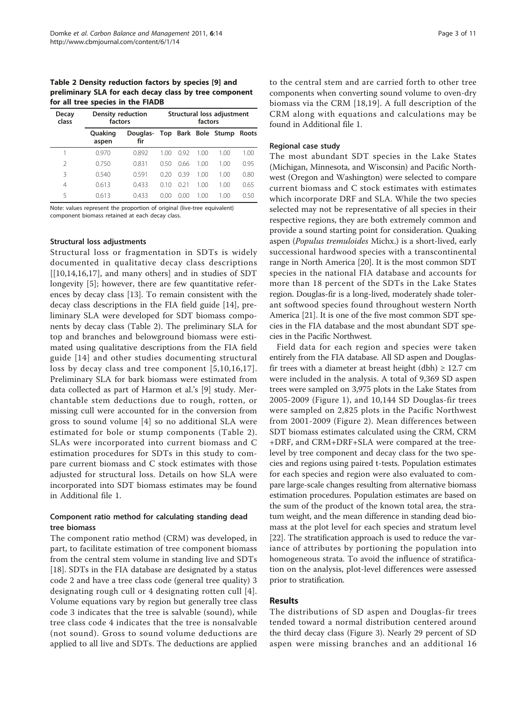<span id="page-2-0"></span>Table 2 Density reduction factors by species [\[9](#page-9-0)] and preliminary SLA for each decay class by tree component for all tree species in the FIADB

| Decay<br>class | Density reduction<br>factors |                                           | Structural loss adjustment<br>factors |      |      |      |      |  |  |
|----------------|------------------------------|-------------------------------------------|---------------------------------------|------|------|------|------|--|--|
|                | Quaking<br>aspen             | Douglas- Top Bark Bole Stump Roots<br>fir |                                       |      |      |      |      |  |  |
|                | 0.970                        | 0.892                                     | 100                                   | 0.92 | 1.00 | 1.00 | 1.00 |  |  |
| $\mathcal{P}$  | 0.750                        | 0.831                                     | O 50                                  | 0.66 | 1.00 | 1.00 | 0.95 |  |  |
| 3              | 0540                         | 0.591                                     | 0.20                                  | 039  | 1.00 | 1.00 | 0.80 |  |  |
| 4              | 0.613                        | 0.433                                     | 010                                   | 0.21 | 1.00 | 1.00 | 0.65 |  |  |
| 5              | 0.613                        | 0433                                      | 0.OO                                  | 0.OO | 1.00 | 1.00 | 0.50 |  |  |

Note: values represent the proportion of original (live-tree equivalent) component biomass retained at each decay class.

### Structural loss adjustments

Structural loss or fragmentation in SDTs is widely documented in qualitative decay class descriptions  $[10,14,16,17]$  $[10,14,16,17]$  $[10,14,16,17]$ , and many others] and in studies of SDT longevity [[5](#page-9-0)]; however, there are few quantitative references by decay class [[13\]](#page-9-0). To remain consistent with the decay class descriptions in the FIA field guide [\[14\]](#page-9-0), preliminary SLA were developed for SDT biomass components by decay class (Table 2). The preliminary SLA for top and branches and belowground biomass were estimated using qualitative descriptions from the FIA field guide [[14](#page-9-0)] and other studies documenting structural loss by decay class and tree component [[5](#page-9-0),[10,16,17\]](#page-9-0). Preliminary SLA for bark biomass were estimated from data collected as part of Harmon et al.'s [[9\]](#page-9-0) study. Merchantable stem deductions due to rough, rotten, or missing cull were accounted for in the conversion from gross to sound volume [[4\]](#page-9-0) so no additional SLA were estimated for bole or stump components (Table 2). SLAs were incorporated into current biomass and C estimation procedures for SDTs in this study to compare current biomass and C stock estimates with those adjusted for structural loss. Details on how SLA were incorporated into SDT biomass estimates may be found in Additional file [1.](#page-9-0)

## Component ratio method for calculating standing dead tree biomass

The component ratio method (CRM) was developed, in part, to facilitate estimation of tree component biomass from the central stem volume in standing live and SDTs [[18\]](#page-9-0). SDTs in the FIA database are designated by a status code 2 and have a tree class code (general tree quality) 3 designating rough cull or 4 designating rotten cull [[4\]](#page-9-0). Volume equations vary by region but generally tree class code 3 indicates that the tree is salvable (sound), while tree class code 4 indicates that the tree is nonsalvable (not sound). Gross to sound volume deductions are applied to all live and SDTs. The deductions are applied to the central stem and are carried forth to other tree components when converting sound volume to oven-dry biomass via the CRM [[18](#page-9-0),[19](#page-9-0)]. A full description of the CRM along with equations and calculations may be found in Additional file [1.](#page-9-0)

#### Regional case study

The most abundant SDT species in the Lake States (Michigan, Minnesota, and Wisconsin) and Pacific Northwest (Oregon and Washington) were selected to compare current biomass and C stock estimates with estimates which incorporate DRF and SLA. While the two species selected may not be representative of all species in their respective regions, they are both extremely common and provide a sound starting point for consideration. Quaking aspen (Populus tremuloides Michx.) is a short-lived, early successional hardwood species with a transcontinental range in North America [\[20](#page-9-0)]. It is the most common SDT species in the national FIA database and accounts for more than 18 percent of the SDTs in the Lake States region. Douglas-fir is a long-lived, moderately shade tolerant softwood species found throughout western North America [\[21\]](#page-9-0). It is one of the five most common SDT species in the FIA database and the most abundant SDT species in the Pacific Northwest.

Field data for each region and species were taken entirely from the FIA database. All SD aspen and Douglasfir trees with a diameter at breast height (dbh)  $\geq 12.7$  cm were included in the analysis. A total of 9,369 SD aspen trees were sampled on 3,975 plots in the Lake States from 2005-2009 (Figure [1\)](#page-3-0), and 10,144 SD Douglas-fir trees were sampled on 2,825 plots in the Pacific Northwest from 2001-2009 (Figure [2](#page-4-0)). Mean differences between SDT biomass estimates calculated using the CRM, CRM +DRF, and CRM+DRF+SLA were compared at the treelevel by tree component and decay class for the two species and regions using paired t-tests. Population estimates for each species and region were also evaluated to compare large-scale changes resulting from alternative biomass estimation procedures. Population estimates are based on the sum of the product of the known total area, the stratum weight, and the mean difference in standing dead biomass at the plot level for each species and stratum level [[22](#page-9-0)]. The stratification approach is used to reduce the variance of attributes by portioning the population into homogeneous strata. To avoid the influence of stratification on the analysis, plot-level differences were assessed prior to stratification.

### Results

The distributions of SD aspen and Douglas-fir trees tended toward a normal distribution centered around the third decay class (Figure [3](#page-4-0)). Nearly 29 percent of SD aspen were missing branches and an additional 16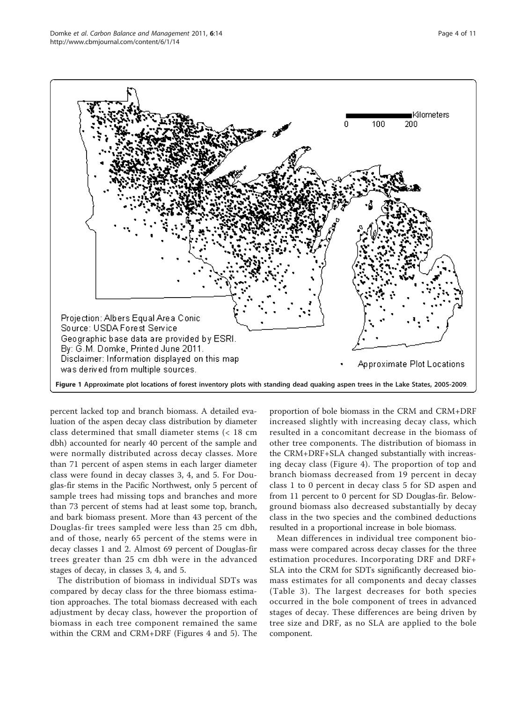<span id="page-3-0"></span>

percent lacked top and branch biomass. A detailed evaluation of the aspen decay class distribution by diameter class determined that small diameter stems (< 18 cm dbh) accounted for nearly 40 percent of the sample and were normally distributed across decay classes. More than 71 percent of aspen stems in each larger diameter class were found in decay classes 3, 4, and 5. For Douglas-fir stems in the Pacific Northwest, only 5 percent of sample trees had missing tops and branches and more than 73 percent of stems had at least some top, branch, and bark biomass present. More than 43 percent of the Douglas-fir trees sampled were less than 25 cm dbh, and of those, nearly 65 percent of the stems were in decay classes 1 and 2. Almost 69 percent of Douglas-fir trees greater than 25 cm dbh were in the advanced stages of decay, in classes 3, 4, and 5.

The distribution of biomass in individual SDTs was compared by decay class for the three biomass estimation approaches. The total biomass decreased with each adjustment by decay class, however the proportion of biomass in each tree component remained the same within the CRM and CRM+DRF (Figures [4](#page-5-0) and [5](#page-6-0)). The

proportion of bole biomass in the CRM and CRM+DRF increased slightly with increasing decay class, which resulted in a concomitant decrease in the biomass of other tree components. The distribution of biomass in the CRM+DRF+SLA changed substantially with increasing decay class (Figure [4\)](#page-5-0). The proportion of top and branch biomass decreased from 19 percent in decay class 1 to 0 percent in decay class 5 for SD aspen and from 11 percent to 0 percent for SD Douglas-fir. Belowground biomass also decreased substantially by decay class in the two species and the combined deductions resulted in a proportional increase in bole biomass.

Mean differences in individual tree component biomass were compared across decay classes for the three estimation procedures. Incorporating DRF and DRF+ SLA into the CRM for SDTs significantly decreased biomass estimates for all components and decay classes (Table [3\)](#page-7-0). The largest decreases for both species occurred in the bole component of trees in advanced stages of decay. These differences are being driven by tree size and DRF, as no SLA are applied to the bole component.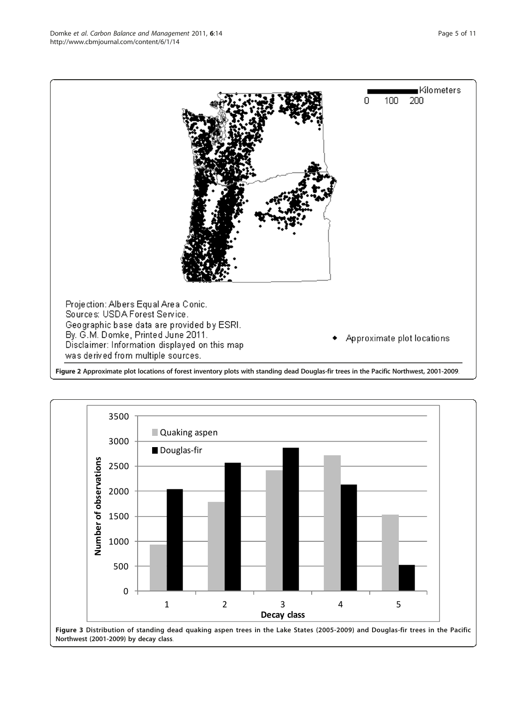<span id="page-4-0"></span>



Figure 3 Distribution of standing dead quaking aspen trees in the Lake States (2005-2009) and Douglas-fir trees in the Pacific Northwest (2001-2009) by decay class.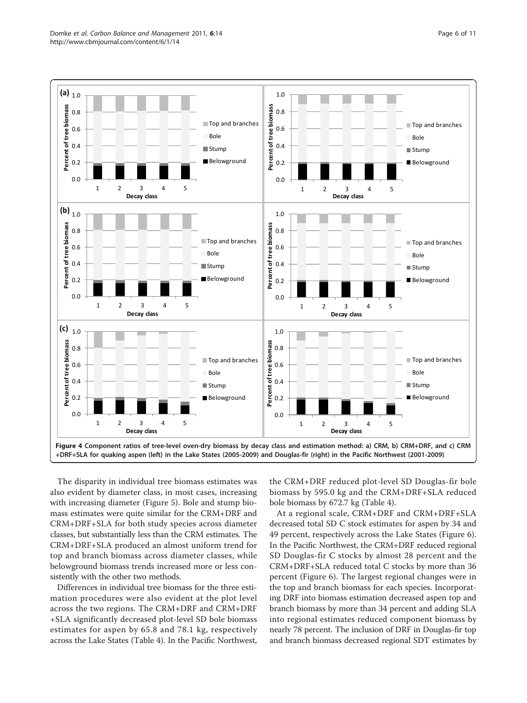<span id="page-5-0"></span>

The disparity in individual tree biomass estimates was also evident by diameter class, in most cases, increasing with increasing diameter (Figure [5](#page-6-0)). Bole and stump biomass estimates were quite similar for the CRM+DRF and CRM+DRF+SLA for both study species across diameter classes, but substantially less than the CRM estimates. The CRM+DRF+SLA produced an almost uniform trend for top and branch biomass across diameter classes, while belowground biomass trends increased more or less consistently with the other two methods.

Differences in individual tree biomass for the three estimation procedures were also evident at the plot level across the two regions. The CRM+DRF and CRM+DRF +SLA significantly decreased plot-level SD bole biomass estimates for aspen by 65.8 and 78.1 kg, respectively across the Lake States (Table [4\)](#page-7-0). In the Pacific Northwest,

the CRM+DRF reduced plot-level SD Douglas-fir bole biomass by 595.0 kg and the CRM+DRF+SLA reduced bole biomass by 672.7 kg (Table [4\)](#page-7-0).

At a regional scale, CRM+DRF and CRM+DRF+SLA decreased total SD C stock estimates for aspen by 34 and 49 percent, respectively across the Lake States (Figure [6](#page-8-0)). In the Pacific Northwest, the CRM+DRF reduced regional SD Douglas-fir C stocks by almost 28 percent and the CRM+DRF+SLA reduced total C stocks by more than 36 percent (Figure [6\)](#page-8-0). The largest regional changes were in the top and branch biomass for each species. Incorporating DRF into biomass estimation decreased aspen top and branch biomass by more than 34 percent and adding SLA into regional estimates reduced component biomass by nearly 78 percent. The inclusion of DRF in Douglas-fir top and branch biomass decreased regional SDT estimates by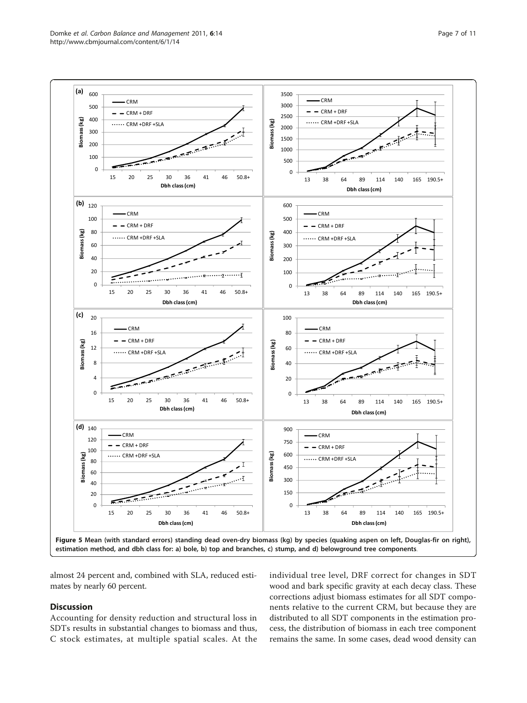<span id="page-6-0"></span>

almost 24 percent and, combined with SLA, reduced estimates by nearly 60 percent.

## **Discussion**

Accounting for density reduction and structural loss in SDTs results in substantial changes to biomass and thus, C stock estimates, at multiple spatial scales. At the individual tree level, DRF correct for changes in SDT wood and bark specific gravity at each decay class. These corrections adjust biomass estimates for all SDT components relative to the current CRM, but because they are distributed to all SDT components in the estimation process, the distribution of biomass in each tree component remains the same. In some cases, dead wood density can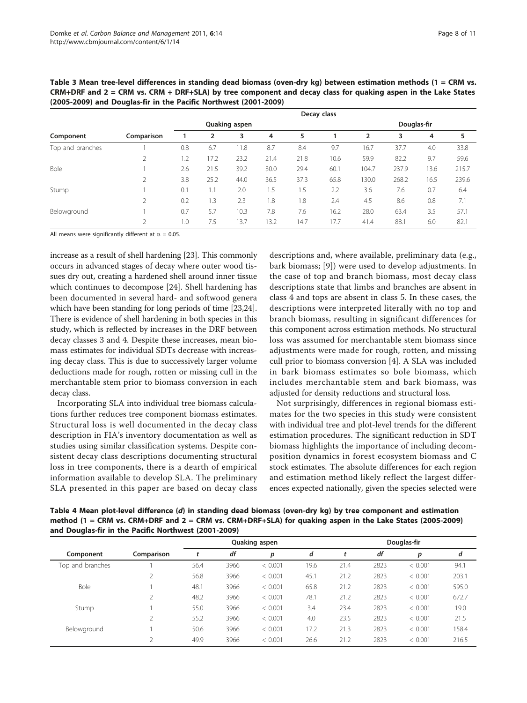|                  |            | Decay class   |      |      |      |      |             |                |       |      |       |  |
|------------------|------------|---------------|------|------|------|------|-------------|----------------|-------|------|-------|--|
|                  |            | Quaking aspen |      |      |      |      | Douglas-fir |                |       |      |       |  |
| Component        | Comparison |               | 2    | 3    | 4    | 5    |             | $\overline{2}$ | 3     | 4    | 5     |  |
| Top and branches |            | 0.8           | 6.7  | 11.8 | 8.7  | 8.4  | 9.7         | 16.7           | 37.7  | 4.0  | 33.8  |  |
|                  | 2          | 1.2           | 17.2 | 23.2 | 21.4 | 21.8 | 10.6        | 59.9           | 82.2  | 9.7  | 59.6  |  |
| Bole             |            | 2.6           | 21.5 | 39.2 | 30.0 | 29.4 | 60.1        | 104.7          | 237.9 | 13.6 | 215.7 |  |
|                  | 2          | 3.8           | 25.2 | 44.0 | 36.5 | 37.3 | 65.8        | 130.0          | 268.2 | 16.5 | 239.6 |  |
| Stump            |            | 0.1           | 1.1  | 2.0  | 1.5  | 1.5  | 2.2         | 3.6            | 7.6   | 0.7  | 6.4   |  |
|                  | 2          | 0.2           | 1.3  | 2.3  | 1.8  | 1.8  | 2.4         | 4.5            | 8.6   | 0.8  | 7.1   |  |
| Belowground      |            | 0.7           | 5.7  | 10.3 | 7.8  | 7.6  | 16.2        | 28.0           | 63.4  | 3.5  | 57.1  |  |
|                  | h          | 1.0           | 7.5  | 13.7 | 13.2 | 14.7 | 17.7        | 41.4           | 88.1  | 6.0  | 82.1  |  |

<span id="page-7-0"></span>Table 3 Mean tree-level differences in standing dead biomass (oven-dry kg) between estimation methods (1 = CRM vs. CRM+DRF and 2 = CRM vs. CRM + DRF+SLA) by tree component and decay class for quaking aspen in the Lake States (2005-2009) and Douglas-fir in the Pacific Northwest (2001-2009)

All means were significantly different at  $\alpha = 0.05$ .

increase as a result of shell hardening [\[23](#page-10-0)]. This commonly occurs in advanced stages of decay where outer wood tissues dry out, creating a hardened shell around inner tissue which continues to decompose [[24\]](#page-10-0). Shell hardening has been documented in several hard- and softwood genera which have been standing for long periods of time [\[23,24](#page-10-0)]. There is evidence of shell hardening in both species in this study, which is reflected by increases in the DRF between decay classes 3 and 4. Despite these increases, mean biomass estimates for individual SDTs decrease with increasing decay class. This is due to successively larger volume deductions made for rough, rotten or missing cull in the merchantable stem prior to biomass conversion in each decay class.

Incorporating SLA into individual tree biomass calculations further reduces tree component biomass estimates. Structural loss is well documented in the decay class description in FIA's inventory documentation as well as studies using similar classification systems. Despite consistent decay class descriptions documenting structural loss in tree components, there is a dearth of empirical information available to develop SLA. The preliminary SLA presented in this paper are based on decay class

descriptions and, where available, preliminary data (e.g., bark biomass; [\[9](#page-9-0)]) were used to develop adjustments. In the case of top and branch biomass, most decay class descriptions state that limbs and branches are absent in class 4 and tops are absent in class 5. In these cases, the descriptions were interpreted literally with no top and branch biomass, resulting in significant differences for this component across estimation methods. No structural loss was assumed for merchantable stem biomass since adjustments were made for rough, rotten, and missing cull prior to biomass conversion [[4\]](#page-9-0). A SLA was included in bark biomass estimates so bole biomass, which includes merchantable stem and bark biomass, was adjusted for density reductions and structural loss.

Not surprisingly, differences in regional biomass estimates for the two species in this study were consistent with individual tree and plot-level trends for the different estimation procedures. The significant reduction in SDT biomass highlights the importance of including decomposition dynamics in forest ecosystem biomass and C stock estimates. The absolute differences for each region and estimation method likely reflect the largest differences expected nationally, given the species selected were

Table 4 Mean plot-level difference (d) in standing dead biomass (oven-dry kg) by tree component and estimation method (1 = CRM vs. CRM+DRF and 2 = CRM vs. CRM+DRF+SLA) for quaking aspen in the Lake States (2005-2009) and Douglas-fir in the Pacific Northwest (2001-2009)

|                  | Comparison | Quaking aspen |      |         |      | Douglas-fir |      |         |       |
|------------------|------------|---------------|------|---------|------|-------------|------|---------|-------|
| Component        |            |               | df   | р       | d    |             | df   | p       | d     |
| Top and branches |            | 56.4          | 3966 | < 0.001 | 19.6 | 21.4        | 2823 | < 0.001 | 94.1  |
|                  |            | 56.8          | 3966 | < 0.001 | 45.1 | 21.2        | 2823 | < 0.001 | 203.1 |
| Bole             |            | 48.1          | 3966 | < 0.001 | 65.8 | 21.2        | 2823 | < 0.001 | 595.0 |
|                  |            | 48.2          | 3966 | < 0.001 | 78.1 | 21.2        | 2823 | < 0.001 | 672.7 |
| Stump            |            | 55.0          | 3966 | < 0.001 | 3.4  | 23.4        | 2823 | < 0.001 | 19.0  |
|                  |            | 55.2          | 3966 | < 0.001 | 4.0  | 23.5        | 2823 | < 0.001 | 21.5  |
| Belowground      |            | 50.6          | 3966 | < 0.001 | 17.2 | 21.3        | 2823 | < 0.001 | 158.4 |
|                  |            | 49.9          | 3966 | < 0.001 | 26.6 | 21.2        | 2823 | < 0.001 | 216.5 |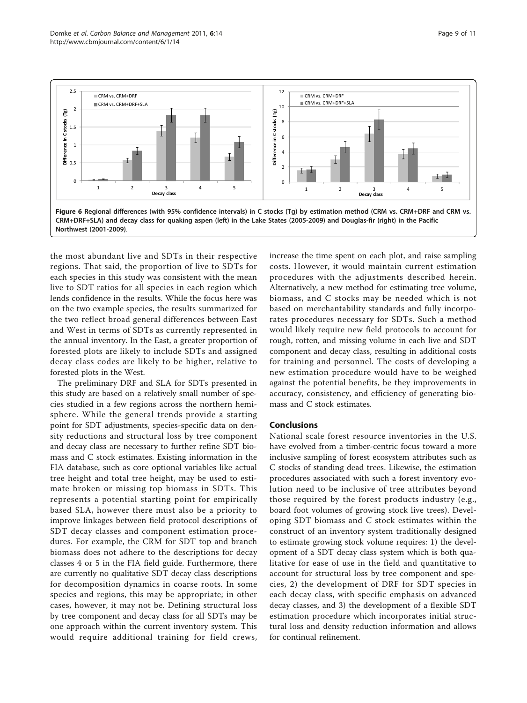<span id="page-8-0"></span>

the most abundant live and SDTs in their respective regions. That said, the proportion of live to SDTs for each species in this study was consistent with the mean live to SDT ratios for all species in each region which lends confidence in the results. While the focus here was on the two example species, the results summarized for the two reflect broad general differences between East and West in terms of SDTs as currently represented in the annual inventory. In the East, a greater proportion of forested plots are likely to include SDTs and assigned decay class codes are likely to be higher, relative to forested plots in the West.

The preliminary DRF and SLA for SDTs presented in this study are based on a relatively small number of species studied in a few regions across the northern hemisphere. While the general trends provide a starting point for SDT adjustments, species-specific data on density reductions and structural loss by tree component and decay class are necessary to further refine SDT biomass and C stock estimates. Existing information in the FIA database, such as core optional variables like actual tree height and total tree height, may be used to estimate broken or missing top biomass in SDTs. This represents a potential starting point for empirically based SLA, however there must also be a priority to improve linkages between field protocol descriptions of SDT decay classes and component estimation procedures. For example, the CRM for SDT top and branch biomass does not adhere to the descriptions for decay classes 4 or 5 in the FIA field guide. Furthermore, there are currently no qualitative SDT decay class descriptions for decomposition dynamics in coarse roots. In some species and regions, this may be appropriate; in other cases, however, it may not be. Defining structural loss by tree component and decay class for all SDTs may be one approach within the current inventory system. This would require additional training for field crews,

increase the time spent on each plot, and raise sampling costs. However, it would maintain current estimation procedures with the adjustments described herein. Alternatively, a new method for estimating tree volume, biomass, and C stocks may be needed which is not based on merchantability standards and fully incorporates procedures necessary for SDTs. Such a method would likely require new field protocols to account for rough, rotten, and missing volume in each live and SDT component and decay class, resulting in additional costs for training and personnel. The costs of developing a new estimation procedure would have to be weighed against the potential benefits, be they improvements in accuracy, consistency, and efficiency of generating biomass and C stock estimates.

## Conclusions

National scale forest resource inventories in the U.S. have evolved from a timber-centric focus toward a more inclusive sampling of forest ecosystem attributes such as C stocks of standing dead trees. Likewise, the estimation procedures associated with such a forest inventory evolution need to be inclusive of tree attributes beyond those required by the forest products industry (e.g., board foot volumes of growing stock live trees). Developing SDT biomass and C stock estimates within the construct of an inventory system traditionally designed to estimate growing stock volume requires: 1) the development of a SDT decay class system which is both qualitative for ease of use in the field and quantitative to account for structural loss by tree component and species, 2) the development of DRF for SDT species in each decay class, with specific emphasis on advanced decay classes, and 3) the development of a flexible SDT estimation procedure which incorporates initial structural loss and density reduction information and allows for continual refinement.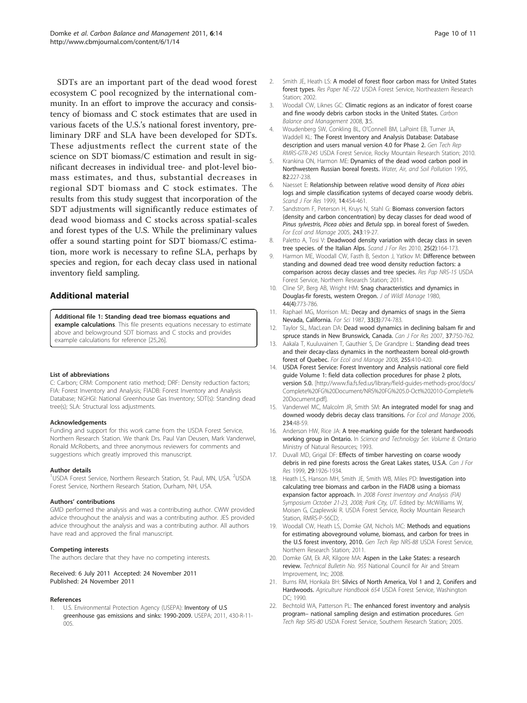<span id="page-9-0"></span>SDTs are an important part of the dead wood forest ecosystem C pool recognized by the international community. In an effort to improve the accuracy and consistency of biomass and C stock estimates that are used in various facets of the U.S.'s national forest inventory, preliminary DRF and SLA have been developed for SDTs. These adjustments reflect the current state of the science on SDT biomass/C estimation and result in significant decreases in individual tree- and plot-level biomass estimates, and thus, substantial decreases in regional SDT biomass and C stock estimates. The results from this study suggest that incorporation of the SDT adjustments will significantly reduce estimates of dead wood biomass and C stocks across spatial-scales and forest types of the U.S. While the preliminary values offer a sound starting point for SDT biomass/C estimation, more work is necessary to refine SLA, perhaps by species and region, for each decay class used in national inventory field sampling.

## Additional material

[Additional file 1: S](http://www.biomedcentral.com/content/supplementary/1750-0680-6-14-S1.PDF)tanding dead tree biomass equations and example calculations. This file presents equations necessary to estimate above and belowground SDT biomass and C stocks and provides example calculations for reference [[25,26\]](#page-10-0).

#### List of abbreviations

C: Carbon; CRM: Component ratio method; DRF: Density reduction factors; FIA: Forest Inventory and Analysis; FIADB: Forest Inventory and Analysis Database; NGHGI: National Greenhouse Gas Inventory; SDT(s): Standing dead tree(s); SLA: Structural loss adjustments.

#### Acknowledgements

Funding and support for this work came from the USDA Forest Service, Northern Research Station. We thank Drs. Paul Van Deusen, Mark Vanderwel, Ronald McRoberts, and three anonymous reviewers for comments and suggestions which greatly improved this manuscript.

#### Author details

<sup>1</sup>USDA Forest Service, Northern Research Station, St. Paul, MN, USA. <sup>2</sup>USDA Forest Service, Northern Research Station, Durham, NH, USA.

#### Authors' contributions

GMD performed the analysis and was a contributing author. CWW provided advice throughout the analysis and was a contributing author. JES provided advice throughout the analysis and was a contributing author. All authors have read and approved the final manuscript.

#### Competing interests

The authors declare that they have no competing interests.

Received: 6 July 2011 Accepted: 24 November 2011 Published: 24 November 2011

#### References

U.S. Environmental Protection Agency (USEPA): Inventory of U.S greenhouse gas emissions and sinks: 1990-2009. USEPA; 2011, 430-R-11- 005.

- 2. Smith JE, Heath LS: A model of forest floor carbon mass for United States forest types. Res Paper NE-722 USDA Forest Service, Northeastern Research Station: 2002
- 3. Woodall CW, Liknes GC: [Climatic regions as an indicator of forest coarse](http://www.ncbi.nlm.nih.gov/pubmed/18541029?dopt=Abstract) [and fine woody debris carbon stocks in the United States.](http://www.ncbi.nlm.nih.gov/pubmed/18541029?dopt=Abstract) Carbon Balance and Management 2008, 3:5.
- 4. Woudenberg SW, Conkling BL, O'Connell BM, LaPoint EB, Turner JA, Waddell KL: The Forest Inventory and Analysis Database: Database description and users manual version 4.0 for Phase 2. Gen Tech Rep RMRS-GTR-245 USDA Forest Service, Rocky Mountain Research Station; 2010.
- 5. Krankina ON, Harmon ME: Dynamics of the dead wood carbon pool in Northwestern Russian boreal forests. Water, Air, and Soil Pollution 1995, 82.227-238
- 6. Naesset E: Relationship between relative wood density of Picea abies logs and simple classification systems of decayed coarse woody debris. Scand J For Res 1999, 14:454-461.
- 7. Sandstrom F, Peterson H, Kruys N, Stahl G: Biomass conversion factors (density and carbon concentration) by decay classes for dead wood of Pinus sylvestris, Picea abies and Betula spp. in boreal forest of Sweden. For Ecol and Manage 2005, 243:19-27.
- 8. Paletto A, Tosi V: Deadwood density variation with decay class in seven tree species. of the Italian Alps. Scand J For Res 2010, 25(2):164-173.
- 9. Harmon ME, Woodall CW, Fasth B, Sexton J, Yatkov M: Difference between standing and downed dead tree wood density reduction factors: a comparison across decay classes and tree species. Res Pap NRS-15 USDA Forest Service, Northern Research Station; 2011.
- 10. Cline SP, Berg AB, Wright HM: Snag characteristics and dynamics in Douglas-fir forests, western Oregon. J of Wildl Manage 1980, 44(4):773-786.
- 11. Raphael MG, Morrison ML: Decay and dynamics of snags in the Sierra Nevada, California. For Sci 1987, 33(3):774-783.
- 12. Taylor SL, MacLean DA: Dead wood dynamics in declining balsam fir and spruce stands in New Brunswick, Canada. Can J For Res 2007, 37:750-762.
- 13. Aakala T, Kuuluvainen T, Gauthier S, De Grandpre L: Standing dead trees and their decay-class dynamics in the northeastern boreal old-growth forest of Quebec. For Ecol and Manage 2008, 255:410-420.
- 14. USDA Forest Service: Forest Inventory and Analysis national core field guide Volume 1: field data collection procedures for phase 2 plots, version 5.0. [[http://www.fia.fs.fed.us/library/field-guides-methods-proc/docs/](http://www.fia.fs.fed.us/library/field-guides-methods-proc/docs/Complete%20FG%20Document/NRS%20FG%205.0-Oct%202010-Complete%20Document.pdf) [Complete%20FG%20Document/NRS%20FG%205.0-Oct%202010-Complete%](http://www.fia.fs.fed.us/library/field-guides-methods-proc/docs/Complete%20FG%20Document/NRS%20FG%205.0-Oct%202010-Complete%20Document.pdf) [20Document.pdf](http://www.fia.fs.fed.us/library/field-guides-methods-proc/docs/Complete%20FG%20Document/NRS%20FG%205.0-Oct%202010-Complete%20Document.pdf)].
- 15. Vanderwel MC, Malcolm JR, Smith SM: An integrated model for snag and downed woody debris decay class transitions. For Ecol and Manage 2006, 234:48-59.
- 16. Anderson HW, Rice JA: A tree-marking guide for the tolerant hardwoods working group in Ontario. In Science and Technology Ser. Volume 8. Ontario Ministry of Natural Resources; 1993.
- 17. Duvall MD, Grigal DF: Effects of timber harvesting on coarse woody debris in red pine forests across the Great Lakes states, U.S.A. Can J For Res 1999, 29:1926-1934.
- 18. Heath LS, Hanson MH, Smith JE, Smith WB, Miles PD: Investigation into calculating tree biomass and carbon in the FIADB using a biomass expansion factor approach. In 2008 Forest Inventory and Analysis (FIA) Symposium October 21-23, 2008; Park City, UT. Edited by: McWilliams W, Moisen G, Czaplewski R. USDA Forest Service, Rocky Mountain Research Station, RMRS-P-56CD;
- 19. Woodall CW, Heath LS, Domke GM, Nichols MC: Methods and equations for estimating aboveground volume, biomass, and carbon for trees in the U.S forest inventory, 2010. Gen Tech Rep NRS-88 USDA Forest Service, Northern Research Station; 2011.
- 20. Domke GM, Ek AR, Kilgore MA: Aspen in the Lake States: a research review. Technical Bulletin No. 955 National Council for Air and Stream Improvement, Inc; 2008.
- 21. Burns RM, Honkala BH: Silvics of North America, Vol 1 and 2, Conifers and Hardwoods. Agriculture Handbook 654 USDA Forest Service, Washington DC; 1990.
- 22. Bechtold WA, Patterson PL: The enhanced forest inventory and analysis program– national sampling design and estimation procedures. Gen Tech Rep SRS-80 USDA Forest Service, Southern Research Station; 2005.